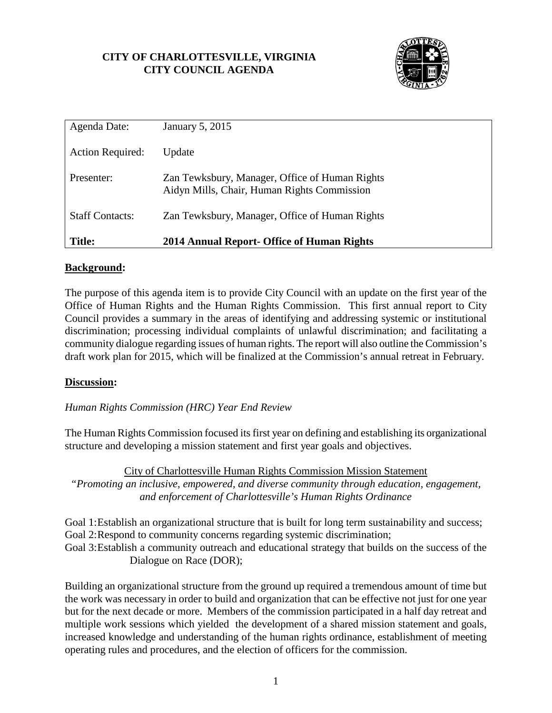## **CITY OF CHARLOTTESVILLE, VIRGINIA CITY COUNCIL AGENDA**



| Agenda Date:            | January 5, 2015                                                                               |
|-------------------------|-----------------------------------------------------------------------------------------------|
| <b>Action Required:</b> | Update                                                                                        |
| Presenter:              | Zan Tewksbury, Manager, Office of Human Rights<br>Aidyn Mills, Chair, Human Rights Commission |
| <b>Staff Contacts:</b>  | Zan Tewksbury, Manager, Office of Human Rights                                                |
| <b>Title:</b>           | 2014 Annual Report- Office of Human Rights                                                    |

## **Background:**

The purpose of this agenda item is to provide City Council with an update on the first year of the Office of Human Rights and the Human Rights Commission. This first annual report to City Council provides a summary in the areas of identifying and addressing systemic or institutional discrimination; processing individual complaints of unlawful discrimination; and facilitating a community dialogue regarding issues of human rights. The report will also outline the Commission's draft work plan for 2015, which will be finalized at the Commission's annual retreat in February.

## **Discussion:**

*Human Rights Commission (HRC) Year End Review* 

The Human Rights Commission focused its first year on defining and establishing its organizational structure and developing a mission statement and first year goals and objectives.

City of Charlottesville Human Rights Commission Mission Statement *"Promoting an inclusive, empowered, and diverse community through education, engagement, and enforcement of Charlottesville's Human Rights Ordinance* 

Goal 1: Establish an organizational structure that is built for long term sustainability and success; Goal 2: Respond to community concerns regarding systemic discrimination; Goal 3: Establish a community outreach and educational strategy that builds on the success of the Dialogue on Race (DOR);

Building an organizational structure from the ground up required a tremendous amount of time but the work was necessary in order to build and organization that can be effective not just for one year but for the next decade or more. Members of the commission participated in a half day retreat and multiple work sessions which yielded the development of a shared mission statement and goals, increased knowledge and understanding of the human rights ordinance, establishment of meeting operating rules and procedures, and the election of officers for the commission.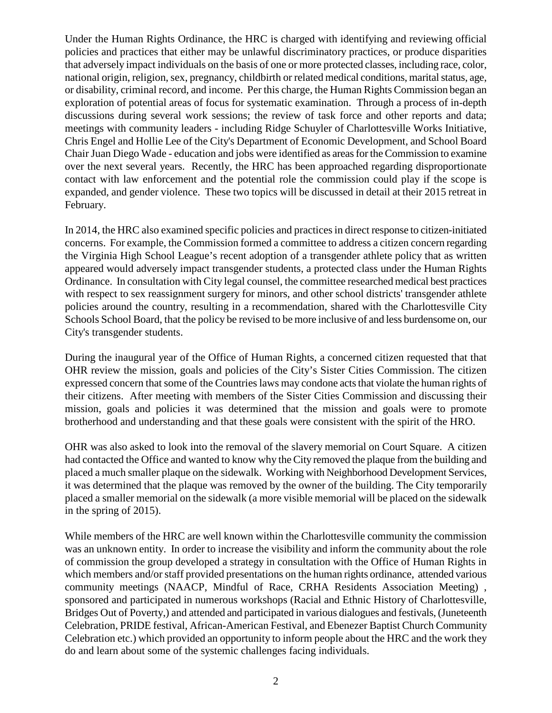Under the Human Rights Ordinance, the HRC is charged with identifying and reviewing official policies and practices that either may be unlawful discriminatory practices, or produce disparities that adversely impact individuals on the basis of one or more protected classes, including race, color, national origin, religion, sex, pregnancy, childbirth or related medical conditions, marital status, age, or disability, criminal record, and income. Per this charge, the Human Rights Commission began an exploration of potential areas of focus for systematic examination. Through a process of in-depth discussions during several work sessions; the review of task force and other reports and data; meetings with community leaders - including Ridge Schuyler of Charlottesville Works Initiative, Chris Engel and Hollie Lee of the City's Department of Economic Development, and School Board Chair Juan Diego Wade - education and jobs were identified as areas for the Commission to examine over the next several years. Recently, the HRC has been approached regarding disproportionate contact with law enforcement and the potential role the commission could play if the scope is expanded, and gender violence. These two topics will be discussed in detail at their 2015 retreat in February.

In 2014, the HRC also examined specific policies and practices in direct response to citizen-initiated concerns. For example, the Commission formed a committee to address a citizen concern regarding the Virginia High School League's recent adoption of a transgender athlete policy that as written appeared would adversely impact transgender students, a protected class under the Human Rights Ordinance. In consultation with City legal counsel, the committee researched medical best practices with respect to sex reassignment surgery for minors, and other school districts' transgender athlete policies around the country, resulting in a recommendation, shared with the Charlottesville City Schools School Board, that the policy be revised to be more inclusive of and less burdensome on, our City's transgender students.

During the inaugural year of the Office of Human Rights, a concerned citizen requested that that OHR review the mission, goals and policies of the City's Sister Cities Commission. The citizen expressed concern that some of the Countries laws may condone acts that violate the human rights of their citizens. After meeting with members of the Sister Cities Commission and discussing their mission, goals and policies it was determined that the mission and goals were to promote brotherhood and understanding and that these goals were consistent with the spirit of the HRO.

OHR was also asked to look into the removal of the slavery memorial on Court Square. A citizen had contacted the Office and wanted to know why the City removed the plaque from the building and placed a much smaller plaque on the sidewalk. Working with Neighborhood Development Services, it was determined that the plaque was removed by the owner of the building. The City temporarily placed a smaller memorial on the sidewalk (a more visible memorial will be placed on the sidewalk in the spring of 2015).

While members of the HRC are well known within the Charlottesville community the commission was an unknown entity. In order to increase the visibility and inform the community about the role of commission the group developed a strategy in consultation with the Office of Human Rights in which members and/or staff provided presentations on the human rights ordinance, attended various community meetings (NAACP, Mindful of Race, CRHA Residents Association Meeting) , sponsored and participated in numerous workshops (Racial and Ethnic History of Charlottesville, Bridges Out of Poverty,) and attended and participated in various dialogues and festivals, (Juneteenth Celebration, PRIDE festival, African-American Festival, and Ebenezer Baptist Church Community Celebration etc.) which provided an opportunity to inform people about the HRC and the work they do and learn about some of the systemic challenges facing individuals.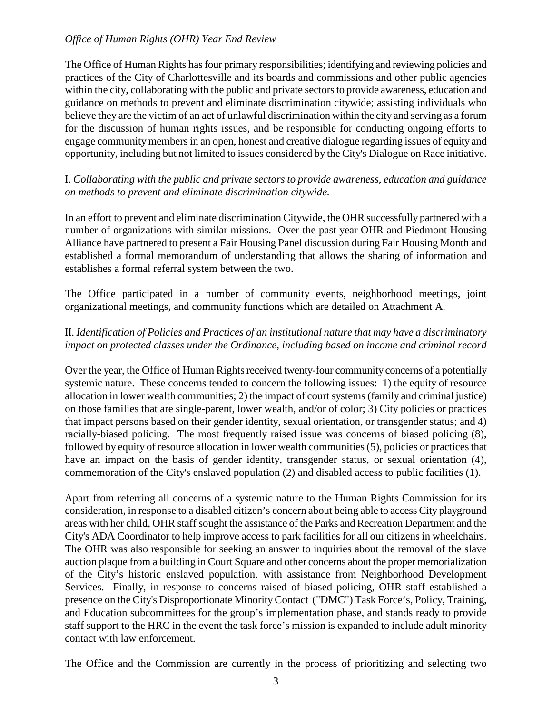#### *Office of Human Rights (OHR) Year End Review*

The Office of Human Rights has four primary responsibilities; identifying and reviewing policies and practices of the City of Charlottesville and its boards and commissions and other public agencies within the city, collaborating with the public and private sectors to provide awareness, education and guidance on methods to prevent and eliminate discrimination citywide; assisting individuals who believe they are the victim of an act of unlawful discrimination within the city and serving as a forum for the discussion of human rights issues, and be responsible for conducting ongoing efforts to engage community members in an open, honest and creative dialogue regarding issues of equity and opportunity, including but not limited to issues considered by the City's Dialogue on Race initiative.

I. *Collaborating with the public and private sectors to provide awareness, education and guidance on methods to prevent and eliminate discrimination citywide.*

In an effort to prevent and eliminate discrimination Citywide, the OHR successfully partnered with a number of organizations with similar missions. Over the past year OHR and Piedmont Housing Alliance have partnered to present a Fair Housing Panel discussion during Fair Housing Month and established a formal memorandum of understanding that allows the sharing of information and establishes a formal referral system between the two.

The Office participated in a number of community events, neighborhood meetings, joint organizational meetings, and community functions which are detailed on Attachment A.

## II. *Identification of Policies and Practices of an institutional nature that may have a discriminatory impact on protected classes under the Ordinance, including based on income and criminal record*

Over the year, the Office of Human Rights received twenty-four community concerns of a potentially systemic nature. These concerns tended to concern the following issues: 1) the equity of resource allocation in lower wealth communities; 2) the impact of court systems (family and criminal justice) on those families that are single-parent, lower wealth, and/or of color; 3) City policies or practices that impact persons based on their gender identity, sexual orientation, or transgender status; and 4) racially-biased policing. The most frequently raised issue was concerns of biased policing (8), followed by equity of resource allocation in lower wealth communities (5), policies or practices that have an impact on the basis of gender identity, transgender status, or sexual orientation  $(4)$ , commemoration of the City's enslaved population (2) and disabled access to public facilities (1).

Apart from referring all concerns of a systemic nature to the Human Rights Commission for its consideration, in response to a disabled citizen's concern about being able to access City playground areas with her child, OHR staff sought the assistance of the Parks and Recreation Department and the City's ADA Coordinator to help improve access to park facilities for all our citizens in wheelchairs. The OHR was also responsible for seeking an answer to inquiries about the removal of the slave auction plaque from a building in Court Square and other concerns about the proper memorialization of the City's historic enslaved population, with assistance from Neighborhood Development Services. Finally, in response to concerns raised of biased policing, OHR staff established a presence on the City's Disproportionate Minority Contact ("DMC") Task Force's, Policy, Training, and Education subcommittees for the group's implementation phase, and stands ready to provide staff support to the HRC in the event the task force's mission is expanded to include adult minority contact with law enforcement.

The Office and the Commission are currently in the process of prioritizing and selecting two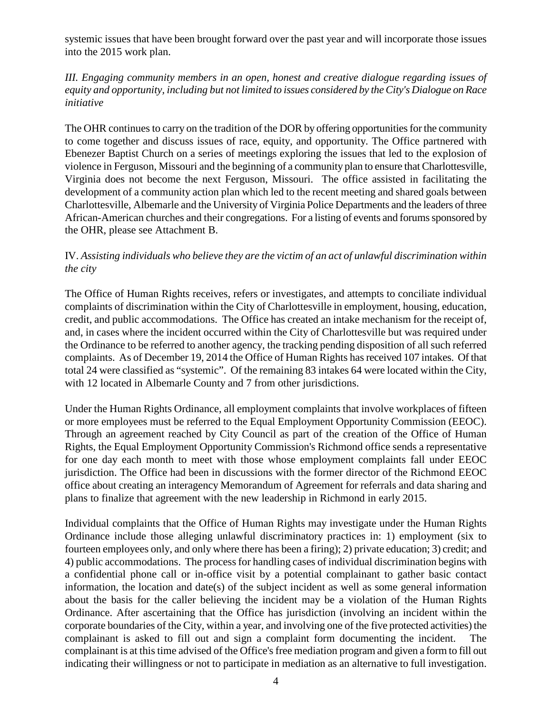systemic issues that have been brought forward over the past year and will incorporate those issues into the 2015 work plan.

## *III. Engaging community members in an open, honest and creative dialogue regarding issues of equity and opportunity, including but not limited to issues considered by the City's Dialogue on Race initiative*

The OHR continues to carry on the tradition of the DOR by offering opportunities for the community to come together and discuss issues of race, equity, and opportunity. The Office partnered with Ebenezer Baptist Church on a series of meetings exploring the issues that led to the explosion of violence in Ferguson, Missouri and the beginning of a community plan to ensure that Charlottesville, Virginia does not become the next Ferguson, Missouri. The office assisted in facilitating the development of a community action plan which led to the recent meeting and shared goals between Charlottesville, Albemarle and the University of Virginia Police Departments and the leaders of three African-American churches and their congregations. For a listing of events and forums sponsored by the OHR, please see Attachment B.

## IV. *Assisting individuals who believe they are the victim of an act of unlawful discrimination within the city*

The Office of Human Rights receives, refers or investigates, and attempts to conciliate individual complaints of discrimination within the City of Charlottesville in employment, housing, education, credit, and public accommodations. The Office has created an intake mechanism for the receipt of, and, in cases where the incident occurred within the City of Charlottesville but was required under the Ordinance to be referred to another agency, the tracking pending disposition of all such referred complaints. As of December 19, 2014 the Office of Human Rights has received 107 intakes. Of that total 24 were classified as "systemic". Of the remaining 83 intakes 64 were located within the City, with 12 located in Albemarle County and 7 from other jurisdictions.

Under the Human Rights Ordinance, all employment complaints that involve workplaces of fifteen or more employees must be referred to the Equal Employment Opportunity Commission (EEOC). Through an agreement reached by City Council as part of the creation of the Office of Human Rights, the Equal Employment Opportunity Commission's Richmond office sends a representative for one day each month to meet with those whose employment complaints fall under EEOC jurisdiction. The Office had been in discussions with the former director of the Richmond EEOC office about creating an interagency Memorandum of Agreement for referrals and data sharing and plans to finalize that agreement with the new leadership in Richmond in early 2015.

Individual complaints that the Office of Human Rights may investigate under the Human Rights Ordinance include those alleging unlawful discriminatory practices in: 1) employment (six to fourteen employees only, and only where there has been a firing); 2) private education; 3) credit; and 4) public accommodations. The process for handling cases of individual discrimination begins with a confidential phone call or in-office visit by a potential complainant to gather basic contact information, the location and date(s) of the subject incident as well as some general information about the basis for the caller believing the incident may be a violation of the Human Rights Ordinance. After ascertaining that the Office has jurisdiction (involving an incident within the corporate boundaries of the City, within a year, and involving one of the five protected activities) the complainant is asked to fill out and sign a complaint form documenting the incident. The complainant is at this time advised of the Office's free mediation program and given a form to fill out indicating their willingness or not to participate in mediation as an alternative to full investigation.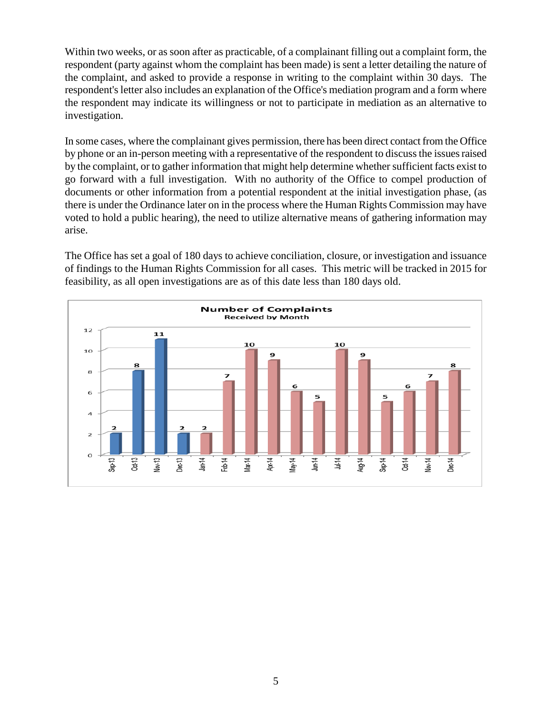Within two weeks, or as soon after as practicable, of a complainant filling out a complaint form, the respondent (party against whom the complaint has been made) is sent a letter detailing the nature of the complaint, and asked to provide a response in writing to the complaint within 30 days. The respondent's letter also includes an explanation of the Office's mediation program and a form where the respondent may indicate its willingness or not to participate in mediation as an alternative to investigation.

In some cases, where the complainant gives permission, there has been direct contact from the Office by phone or an in-person meeting with a representative of the respondent to discuss the issues raised by the complaint, or to gather information that might help determine whether sufficient facts exist to go forward with a full investigation. With no authority of the Office to compel production of documents or other information from a potential respondent at the initial investigation phase, (as there is under the Ordinance later on in the process where the Human Rights Commission may have voted to hold a public hearing), the need to utilize alternative means of gathering information may arise.

The Office has set a goal of 180 days to achieve conciliation, closure, or investigation and issuance of findings to the Human Rights Commission for all cases. This metric will be tracked in 2015 for feasibility, as all open investigations are as of this date less than 180 days old.

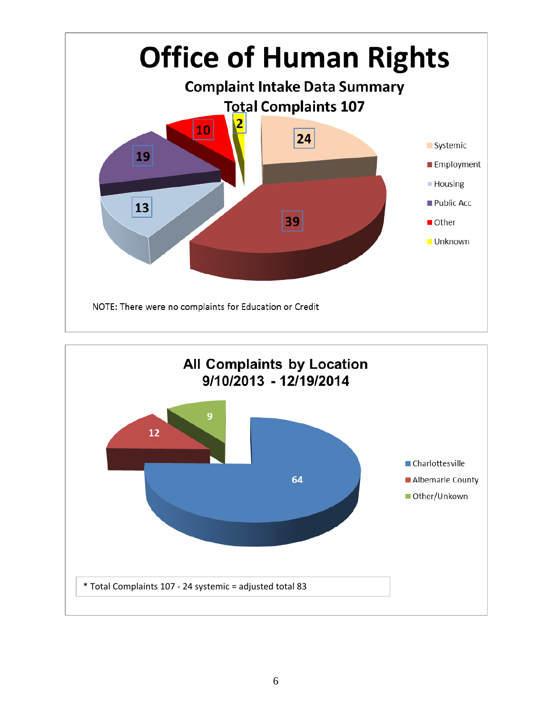

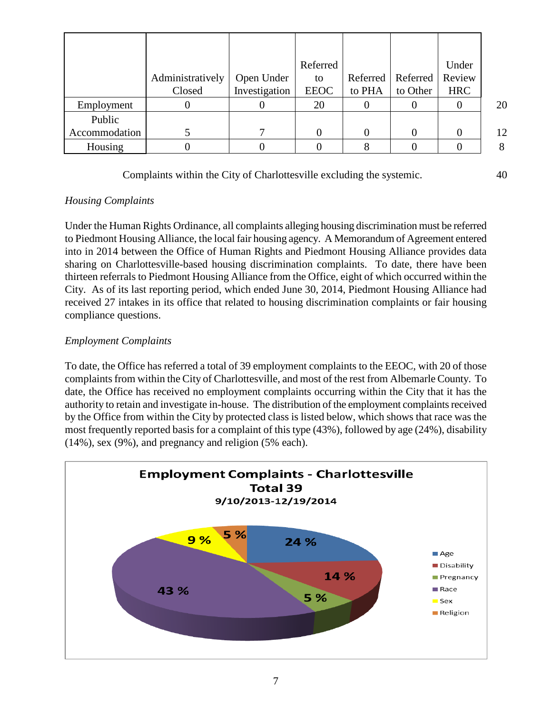|               |                  |               | Referred    |          |          | Under      |    |
|---------------|------------------|---------------|-------------|----------|----------|------------|----|
|               | Administratively | Open Under    | to          | Referred | Referred | Review     |    |
|               | Closed           | Investigation | <b>EEOC</b> | to PHA   | to Other | <b>HRC</b> |    |
| Employment    |                  |               | 20          |          |          |            | 20 |
| Public        |                  |               |             |          |          |            |    |
| Accommodation |                  |               |             |          |          |            | 12 |
| Housing       |                  |               |             |          |          |            | 8  |

Complaints within the City of Charlottesville excluding the systemic. 40

## *Housing Complaints*

Under the Human Rights Ordinance, all complaints alleging housing discrimination must be referred to Piedmont Housing Alliance, the local fair housing agency. A Memorandum of Agreement entered into in 2014 between the Office of Human Rights and Piedmont Housing Alliance provides data sharing on Charlottesville-based housing discrimination complaints. To date, there have been thirteen referrals to Piedmont Housing Alliance from the Office, eight of which occurred within the City. As of its last reporting period, which ended June 30, 2014, Piedmont Housing Alliance had received 27 intakes in its office that related to housing discrimination complaints or fair housing compliance questions.

## *Employment Complaints*

To date, the Office has referred a total of 39 employment complaints to the EEOC, with 20 of those complaints from within the City of Charlottesville, and most of the rest from Albemarle County. To date, the Office has received no employment complaints occurring within the City that it has the authority to retain and investigate in-house. The distribution of the employment complaints received by the Office from within the City by protected class is listed below, which shows that race was the most frequently reported basis for a complaint of this type (43%), followed by age (24%), disability (14%), sex (9%), and pregnancy and religion (5% each).

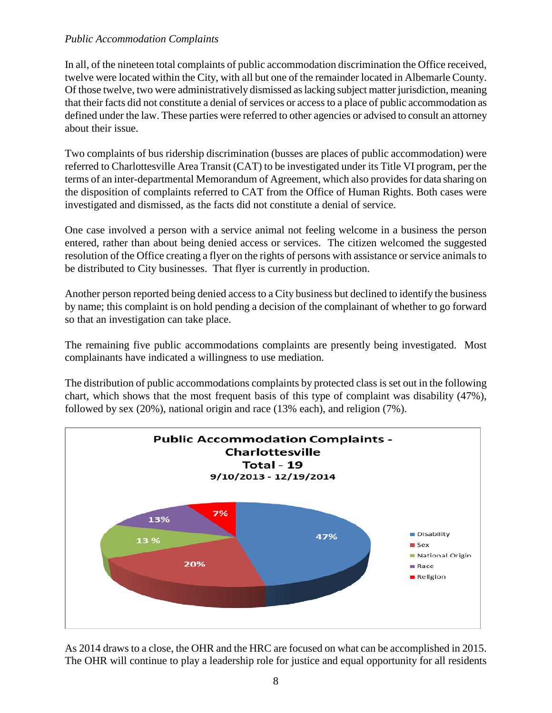### *Public Accommodation Complaints*

In all, of the nineteen total complaints of public accommodation discrimination the Office received, twelve were located within the City, with all but one of the remainder located in Albemarle County. Of those twelve, two were administratively dismissed as lacking subject matter jurisdiction, meaning that their facts did not constitute a denial of services or access to a place of public accommodation as defined under the law. These parties were referred to other agencies or advised to consult an attorney about their issue.

Two complaints of bus ridership discrimination (busses are places of public accommodation) were referred to Charlottesville Area Transit (CAT) to be investigated under its Title VI program, per the terms of an inter-departmental Memorandum of Agreement, which also provides for data sharing on the disposition of complaints referred to CAT from the Office of Human Rights. Both cases were investigated and dismissed, as the facts did not constitute a denial of service.

One case involved a person with a service animal not feeling welcome in a business the person entered, rather than about being denied access or services. The citizen welcomed the suggested resolution of the Office creating a flyer on the rights of persons with assistance or service animals to be distributed to City businesses. That flyer is currently in production.

Another person reported being denied access to a City business but declined to identify the business by name; this complaint is on hold pending a decision of the complainant of whether to go forward so that an investigation can take place.

The remaining five public accommodations complaints are presently being investigated. Most complainants have indicated a willingness to use mediation.

The distribution of public accommodations complaints by protected class is set out in the following chart, which shows that the most frequent basis of this type of complaint was disability (47%), followed by sex (20%), national origin and race (13% each), and religion (7%).



As 2014 draws to a close, the OHR and the HRC are focused on what can be accomplished in 2015. The OHR will continue to play a leadership role for justice and equal opportunity for all residents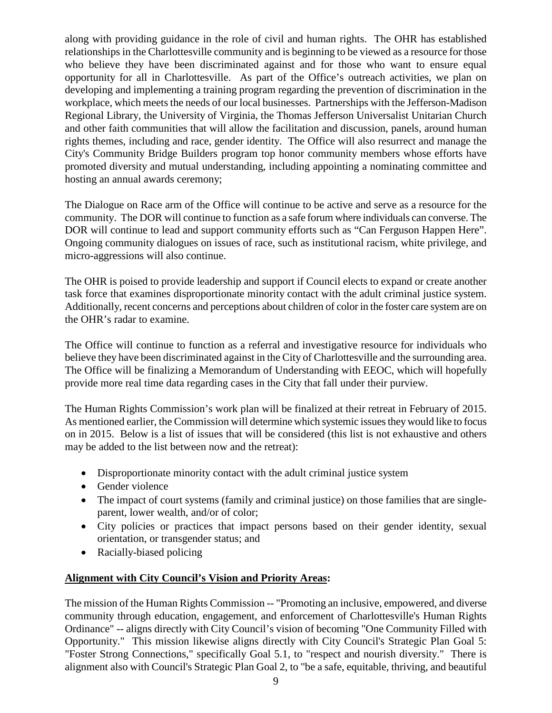along with providing guidance in the role of civil and human rights. The OHR has established relationships in the Charlottesville community and is beginning to be viewed as a resource for those who believe they have been discriminated against and for those who want to ensure equal opportunity for all in Charlottesville. As part of the Office's outreach activities, we plan on developing and implementing a training program regarding the prevention of discrimination in the workplace, which meets the needs of our local businesses. Partnerships with the Jefferson-Madison Regional Library, the University of Virginia, the Thomas Jefferson Universalist Unitarian Church and other faith communities that will allow the facilitation and discussion, panels, around human rights themes, including and race, gender identity. The Office will also resurrect and manage the City's Community Bridge Builders program top honor community members whose efforts have promoted diversity and mutual understanding, including appointing a nominating committee and hosting an annual awards ceremony;

The Dialogue on Race arm of the Office will continue to be active and serve as a resource for the community. The DOR will continue to function as a safe forum where individuals can converse. The DOR will continue to lead and support community efforts such as "Can Ferguson Happen Here". Ongoing community dialogues on issues of race, such as institutional racism, white privilege, and micro-aggressions will also continue.

The OHR is poised to provide leadership and support if Council elects to expand or create another task force that examines disproportionate minority contact with the adult criminal justice system. Additionally, recent concerns and perceptions about children of color in the foster care system are on the OHR's radar to examine.

The Office will continue to function as a referral and investigative resource for individuals who believe they have been discriminated against in the City of Charlottesville and the surrounding area. The Office will be finalizing a Memorandum of Understanding with EEOC, which will hopefully provide more real time data regarding cases in the City that fall under their purview.

The Human Rights Commission's work plan will be finalized at their retreat in February of 2015. As mentioned earlier, the Commission will determine which systemic issues they would like to focus on in 2015. Below is a list of issues that will be considered (this list is not exhaustive and others may be added to the list between now and the retreat):

- Disproportionate minority contact with the adult criminal justice system
- Gender violence
- The impact of court systems (family and criminal justice) on those families that are singleparent, lower wealth, and/or of color;
- City policies or practices that impact persons based on their gender identity, sexual orientation, or transgender status; and
- Racially-biased policing

## **Alignment with City Council's Vision and Priority Areas:**

The mission of the Human Rights Commission -- "Promoting an inclusive, empowered, and diverse community through education, engagement, and enforcement of Charlottesville's Human Rights Ordinance" -- aligns directly with City Council's vision of becoming "One Community Filled with Opportunity." This mission likewise aligns directly with City Council's Strategic Plan Goal 5: "Foster Strong Connections," specifically Goal 5.1, to "respect and nourish diversity." There is alignment also with Council's Strategic Plan Goal 2, to "be a safe, equitable, thriving, and beautiful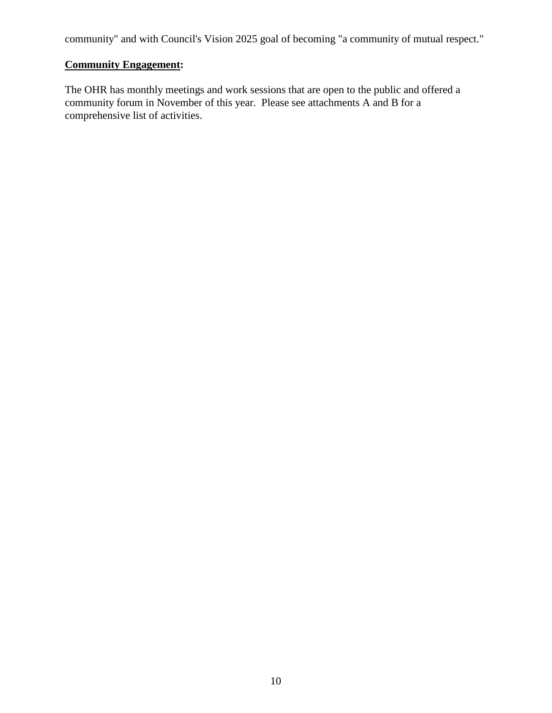community" and with Council's Vision 2025 goal of becoming "a community of mutual respect."

## **Community Engagement:**

The OHR has monthly meetings and work sessions that are open to the public and offered a community forum in November of this year. Please see attachments A and B for a comprehensive list of activities.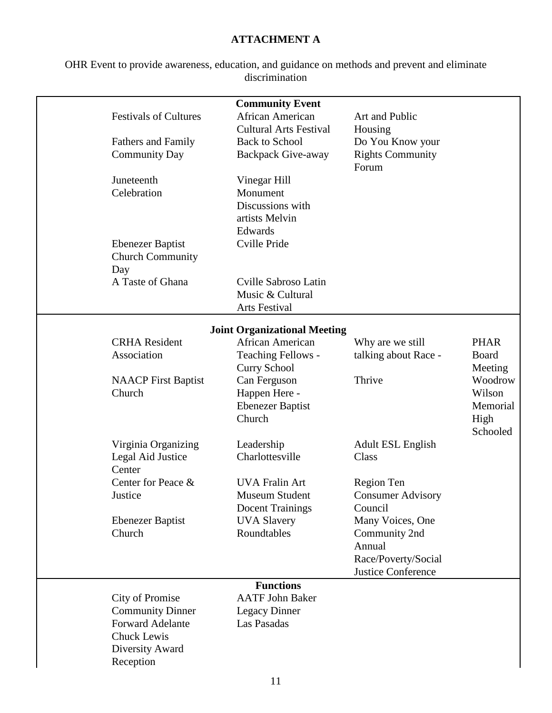## **ATTACHMENT A**

OHR Event to provide awareness, education, and guidance on methods and prevent and eliminate discrimination

|                                | <b>Community Event</b>              |                                           |                  |
|--------------------------------|-------------------------------------|-------------------------------------------|------------------|
| <b>Festivals of Cultures</b>   | African American                    | Art and Public                            |                  |
|                                | <b>Cultural Arts Festival</b>       | Housing                                   |                  |
| <b>Fathers and Family</b>      | <b>Back to School</b>               | Do You Know your                          |                  |
| <b>Community Day</b>           | <b>Backpack Give-away</b>           | <b>Rights Community</b><br>Forum          |                  |
| Juneteenth                     | Vinegar Hill                        |                                           |                  |
| Celebration                    | Monument                            |                                           |                  |
|                                | Discussions with                    |                                           |                  |
|                                | artists Melvin                      |                                           |                  |
|                                | Edwards                             |                                           |                  |
| <b>Ebenezer Baptist</b>        | Cville Pride                        |                                           |                  |
| <b>Church Community</b><br>Day |                                     |                                           |                  |
| A Taste of Ghana               | Cville Sabroso Latin                |                                           |                  |
|                                | Music & Cultural                    |                                           |                  |
|                                | Arts Festival                       |                                           |                  |
|                                | <b>Joint Organizational Meeting</b> |                                           |                  |
| <b>CRHA</b> Resident           | African American                    | Why are we still                          | <b>PHAR</b>      |
| Association                    | <b>Teaching Fellows -</b>           | talking about Race -                      | <b>Board</b>     |
|                                | <b>Curry School</b>                 |                                           | Meeting          |
| <b>NAACP</b> First Baptist     | Can Ferguson                        | Thrive                                    | Woodrow          |
| Church                         | Happen Here -                       |                                           | Wilson           |
|                                | Ebenezer Baptist<br>Church          |                                           | Memorial         |
|                                |                                     |                                           | High<br>Schooled |
| Virginia Organizing            | Leadership                          | <b>Adult ESL English</b>                  |                  |
| Legal Aid Justice              | Charlottesville                     | Class                                     |                  |
| Center                         |                                     |                                           |                  |
| Center for Peace &             | <b>UVA Fralin Art</b>               | Region Ten                                |                  |
| Justice                        | Museum Student                      | <b>Consumer Advisory</b>                  |                  |
|                                | <b>Docent Trainings</b>             | Council                                   |                  |
| <b>Ebenezer Baptist</b>        | <b>UVA Slavery</b>                  | Many Voices, One                          |                  |
| Church                         | Roundtables                         | Community 2nd                             |                  |
|                                |                                     | Annual                                    |                  |
|                                |                                     | Race/Poverty/Social<br>Justice Conference |                  |
|                                | <b>Functions</b>                    |                                           |                  |
| <b>City of Promise</b>         | <b>AATF John Baker</b>              |                                           |                  |
| <b>Community Dinner</b>        | <b>Legacy Dinner</b>                |                                           |                  |
| <b>Forward Adelante</b>        | Las Pasadas                         |                                           |                  |
| <b>Chuck Lewis</b>             |                                     |                                           |                  |
| Diversity Award                |                                     |                                           |                  |
| Reception                      |                                     |                                           |                  |
|                                |                                     |                                           |                  |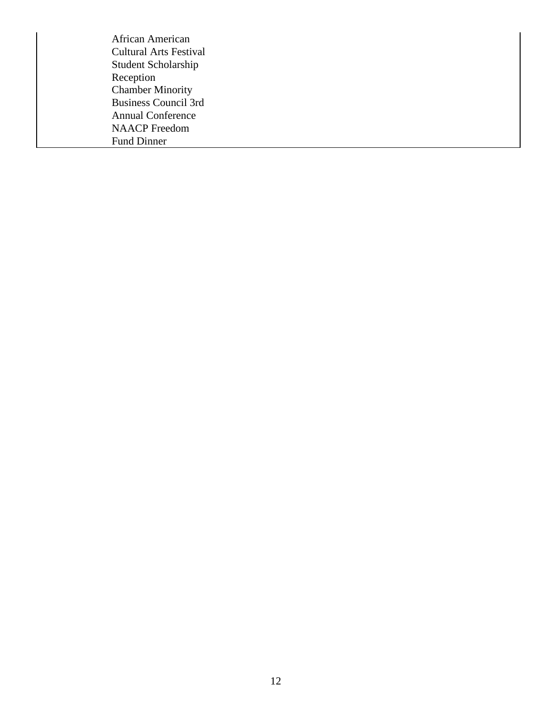African American Cultural Arts Festival Student Scholarship Reception Chamber Minority Business Council 3rd Annual Conference NAACP Freedom Fund Dinner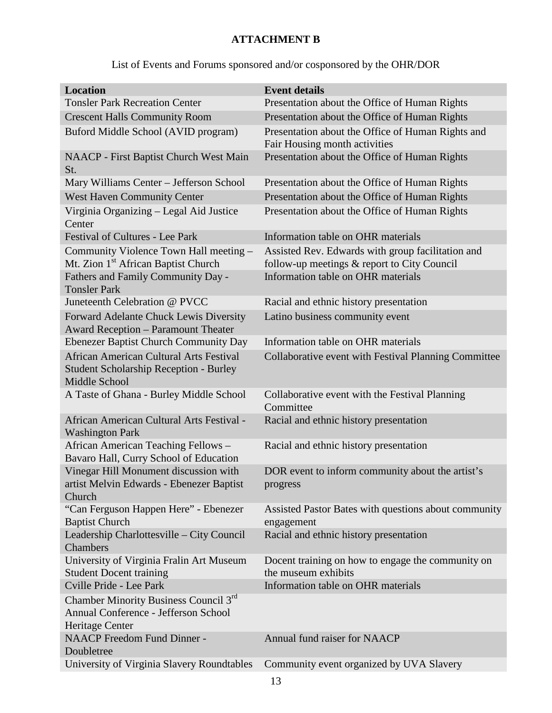## **ATTACHMENT B**

# List of Events and Forums sponsored and/or cosponsored by the OHR/DOR

| <b>Tonsler Park Recreation Center</b><br>Presentation about the Office of Human Rights<br><b>Crescent Halls Community Room</b><br>Presentation about the Office of Human Rights<br>Buford Middle School (AVID program)<br>Presentation about the Office of Human Rights and<br>Fair Housing month activities<br>Presentation about the Office of Human Rights<br><b>NAACP</b> - First Baptist Church West Main<br>St.<br>Mary Williams Center - Jefferson School<br>Presentation about the Office of Human Rights<br><b>West Haven Community Center</b><br>Presentation about the Office of Human Rights<br>Virginia Organizing - Legal Aid Justice<br>Presentation about the Office of Human Rights<br>Center<br><b>Festival of Cultures - Lee Park</b><br>Information table on OHR materials<br>Community Violence Town Hall meeting -<br>Assisted Rev. Edwards with group facilitation and<br>Mt. Zion 1 <sup>st</sup> African Baptist Church<br>follow-up meetings & report to City Council<br>Fathers and Family Community Day -<br>Information table on OHR materials<br><b>Tonsler Park</b><br>Juneteenth Celebration @ PVCC<br>Racial and ethnic history presentation<br>Forward Adelante Chuck Lewis Diversity<br>Latino business community event<br>Award Reception - Paramount Theater<br>Information table on OHR materials<br><b>Ebenezer Baptist Church Community Day</b><br>African American Cultural Arts Festival<br>Collaborative event with Festival Planning Committee<br><b>Student Scholarship Reception - Burley</b><br>Middle School<br>A Taste of Ghana - Burley Middle School<br>Collaborative event with the Festival Planning<br>Committee<br>African American Cultural Arts Festival -<br>Racial and ethnic history presentation<br><b>Washington Park</b><br>African American Teaching Fellows -<br>Racial and ethnic history presentation<br>Bavaro Hall, Curry School of Education<br>Vinegar Hill Monument discussion with<br>DOR event to inform community about the artist's<br>artist Melvin Edwards - Ebenezer Baptist<br>progress<br>Church<br>"Can Ferguson Happen Here" - Ebenezer<br>Assisted Pastor Bates with questions about community<br><b>Baptist Church</b><br>engagement |
|---------------------------------------------------------------------------------------------------------------------------------------------------------------------------------------------------------------------------------------------------------------------------------------------------------------------------------------------------------------------------------------------------------------------------------------------------------------------------------------------------------------------------------------------------------------------------------------------------------------------------------------------------------------------------------------------------------------------------------------------------------------------------------------------------------------------------------------------------------------------------------------------------------------------------------------------------------------------------------------------------------------------------------------------------------------------------------------------------------------------------------------------------------------------------------------------------------------------------------------------------------------------------------------------------------------------------------------------------------------------------------------------------------------------------------------------------------------------------------------------------------------------------------------------------------------------------------------------------------------------------------------------------------------------------------------------------------------------------------------------------------------------------------------------------------------------------------------------------------------------------------------------------------------------------------------------------------------------------------------------------------------------------------------------------------------------------------------------------------------------------------------------------------------------------------------------------------------------------|
|                                                                                                                                                                                                                                                                                                                                                                                                                                                                                                                                                                                                                                                                                                                                                                                                                                                                                                                                                                                                                                                                                                                                                                                                                                                                                                                                                                                                                                                                                                                                                                                                                                                                                                                                                                                                                                                                                                                                                                                                                                                                                                                                                                                                                           |
|                                                                                                                                                                                                                                                                                                                                                                                                                                                                                                                                                                                                                                                                                                                                                                                                                                                                                                                                                                                                                                                                                                                                                                                                                                                                                                                                                                                                                                                                                                                                                                                                                                                                                                                                                                                                                                                                                                                                                                                                                                                                                                                                                                                                                           |
|                                                                                                                                                                                                                                                                                                                                                                                                                                                                                                                                                                                                                                                                                                                                                                                                                                                                                                                                                                                                                                                                                                                                                                                                                                                                                                                                                                                                                                                                                                                                                                                                                                                                                                                                                                                                                                                                                                                                                                                                                                                                                                                                                                                                                           |
|                                                                                                                                                                                                                                                                                                                                                                                                                                                                                                                                                                                                                                                                                                                                                                                                                                                                                                                                                                                                                                                                                                                                                                                                                                                                                                                                                                                                                                                                                                                                                                                                                                                                                                                                                                                                                                                                                                                                                                                                                                                                                                                                                                                                                           |
|                                                                                                                                                                                                                                                                                                                                                                                                                                                                                                                                                                                                                                                                                                                                                                                                                                                                                                                                                                                                                                                                                                                                                                                                                                                                                                                                                                                                                                                                                                                                                                                                                                                                                                                                                                                                                                                                                                                                                                                                                                                                                                                                                                                                                           |
|                                                                                                                                                                                                                                                                                                                                                                                                                                                                                                                                                                                                                                                                                                                                                                                                                                                                                                                                                                                                                                                                                                                                                                                                                                                                                                                                                                                                                                                                                                                                                                                                                                                                                                                                                                                                                                                                                                                                                                                                                                                                                                                                                                                                                           |
|                                                                                                                                                                                                                                                                                                                                                                                                                                                                                                                                                                                                                                                                                                                                                                                                                                                                                                                                                                                                                                                                                                                                                                                                                                                                                                                                                                                                                                                                                                                                                                                                                                                                                                                                                                                                                                                                                                                                                                                                                                                                                                                                                                                                                           |
|                                                                                                                                                                                                                                                                                                                                                                                                                                                                                                                                                                                                                                                                                                                                                                                                                                                                                                                                                                                                                                                                                                                                                                                                                                                                                                                                                                                                                                                                                                                                                                                                                                                                                                                                                                                                                                                                                                                                                                                                                                                                                                                                                                                                                           |
|                                                                                                                                                                                                                                                                                                                                                                                                                                                                                                                                                                                                                                                                                                                                                                                                                                                                                                                                                                                                                                                                                                                                                                                                                                                                                                                                                                                                                                                                                                                                                                                                                                                                                                                                                                                                                                                                                                                                                                                                                                                                                                                                                                                                                           |
|                                                                                                                                                                                                                                                                                                                                                                                                                                                                                                                                                                                                                                                                                                                                                                                                                                                                                                                                                                                                                                                                                                                                                                                                                                                                                                                                                                                                                                                                                                                                                                                                                                                                                                                                                                                                                                                                                                                                                                                                                                                                                                                                                                                                                           |
|                                                                                                                                                                                                                                                                                                                                                                                                                                                                                                                                                                                                                                                                                                                                                                                                                                                                                                                                                                                                                                                                                                                                                                                                                                                                                                                                                                                                                                                                                                                                                                                                                                                                                                                                                                                                                                                                                                                                                                                                                                                                                                                                                                                                                           |
|                                                                                                                                                                                                                                                                                                                                                                                                                                                                                                                                                                                                                                                                                                                                                                                                                                                                                                                                                                                                                                                                                                                                                                                                                                                                                                                                                                                                                                                                                                                                                                                                                                                                                                                                                                                                                                                                                                                                                                                                                                                                                                                                                                                                                           |
|                                                                                                                                                                                                                                                                                                                                                                                                                                                                                                                                                                                                                                                                                                                                                                                                                                                                                                                                                                                                                                                                                                                                                                                                                                                                                                                                                                                                                                                                                                                                                                                                                                                                                                                                                                                                                                                                                                                                                                                                                                                                                                                                                                                                                           |
|                                                                                                                                                                                                                                                                                                                                                                                                                                                                                                                                                                                                                                                                                                                                                                                                                                                                                                                                                                                                                                                                                                                                                                                                                                                                                                                                                                                                                                                                                                                                                                                                                                                                                                                                                                                                                                                                                                                                                                                                                                                                                                                                                                                                                           |
|                                                                                                                                                                                                                                                                                                                                                                                                                                                                                                                                                                                                                                                                                                                                                                                                                                                                                                                                                                                                                                                                                                                                                                                                                                                                                                                                                                                                                                                                                                                                                                                                                                                                                                                                                                                                                                                                                                                                                                                                                                                                                                                                                                                                                           |
|                                                                                                                                                                                                                                                                                                                                                                                                                                                                                                                                                                                                                                                                                                                                                                                                                                                                                                                                                                                                                                                                                                                                                                                                                                                                                                                                                                                                                                                                                                                                                                                                                                                                                                                                                                                                                                                                                                                                                                                                                                                                                                                                                                                                                           |
|                                                                                                                                                                                                                                                                                                                                                                                                                                                                                                                                                                                                                                                                                                                                                                                                                                                                                                                                                                                                                                                                                                                                                                                                                                                                                                                                                                                                                                                                                                                                                                                                                                                                                                                                                                                                                                                                                                                                                                                                                                                                                                                                                                                                                           |
|                                                                                                                                                                                                                                                                                                                                                                                                                                                                                                                                                                                                                                                                                                                                                                                                                                                                                                                                                                                                                                                                                                                                                                                                                                                                                                                                                                                                                                                                                                                                                                                                                                                                                                                                                                                                                                                                                                                                                                                                                                                                                                                                                                                                                           |
|                                                                                                                                                                                                                                                                                                                                                                                                                                                                                                                                                                                                                                                                                                                                                                                                                                                                                                                                                                                                                                                                                                                                                                                                                                                                                                                                                                                                                                                                                                                                                                                                                                                                                                                                                                                                                                                                                                                                                                                                                                                                                                                                                                                                                           |
|                                                                                                                                                                                                                                                                                                                                                                                                                                                                                                                                                                                                                                                                                                                                                                                                                                                                                                                                                                                                                                                                                                                                                                                                                                                                                                                                                                                                                                                                                                                                                                                                                                                                                                                                                                                                                                                                                                                                                                                                                                                                                                                                                                                                                           |
|                                                                                                                                                                                                                                                                                                                                                                                                                                                                                                                                                                                                                                                                                                                                                                                                                                                                                                                                                                                                                                                                                                                                                                                                                                                                                                                                                                                                                                                                                                                                                                                                                                                                                                                                                                                                                                                                                                                                                                                                                                                                                                                                                                                                                           |
| Leadership Charlottesville - City Council<br>Racial and ethnic history presentation<br>Chambers                                                                                                                                                                                                                                                                                                                                                                                                                                                                                                                                                                                                                                                                                                                                                                                                                                                                                                                                                                                                                                                                                                                                                                                                                                                                                                                                                                                                                                                                                                                                                                                                                                                                                                                                                                                                                                                                                                                                                                                                                                                                                                                           |
| University of Virginia Fralin Art Museum<br>Docent training on how to engage the community on                                                                                                                                                                                                                                                                                                                                                                                                                                                                                                                                                                                                                                                                                                                                                                                                                                                                                                                                                                                                                                                                                                                                                                                                                                                                                                                                                                                                                                                                                                                                                                                                                                                                                                                                                                                                                                                                                                                                                                                                                                                                                                                             |
| the museum exhibits<br><b>Student Docent training</b>                                                                                                                                                                                                                                                                                                                                                                                                                                                                                                                                                                                                                                                                                                                                                                                                                                                                                                                                                                                                                                                                                                                                                                                                                                                                                                                                                                                                                                                                                                                                                                                                                                                                                                                                                                                                                                                                                                                                                                                                                                                                                                                                                                     |
| Cville Pride - Lee Park<br>Information table on OHR materials                                                                                                                                                                                                                                                                                                                                                                                                                                                                                                                                                                                                                                                                                                                                                                                                                                                                                                                                                                                                                                                                                                                                                                                                                                                                                                                                                                                                                                                                                                                                                                                                                                                                                                                                                                                                                                                                                                                                                                                                                                                                                                                                                             |
| Chamber Minority Business Council 3rd<br>Annual Conference - Jefferson School<br>Heritage Center                                                                                                                                                                                                                                                                                                                                                                                                                                                                                                                                                                                                                                                                                                                                                                                                                                                                                                                                                                                                                                                                                                                                                                                                                                                                                                                                                                                                                                                                                                                                                                                                                                                                                                                                                                                                                                                                                                                                                                                                                                                                                                                          |
| <b>NAACP</b> Freedom Fund Dinner -<br>Annual fund raiser for NAACP<br>Doubletree                                                                                                                                                                                                                                                                                                                                                                                                                                                                                                                                                                                                                                                                                                                                                                                                                                                                                                                                                                                                                                                                                                                                                                                                                                                                                                                                                                                                                                                                                                                                                                                                                                                                                                                                                                                                                                                                                                                                                                                                                                                                                                                                          |
| University of Virginia Slavery Roundtables<br>Community event organized by UVA Slavery                                                                                                                                                                                                                                                                                                                                                                                                                                                                                                                                                                                                                                                                                                                                                                                                                                                                                                                                                                                                                                                                                                                                                                                                                                                                                                                                                                                                                                                                                                                                                                                                                                                                                                                                                                                                                                                                                                                                                                                                                                                                                                                                    |